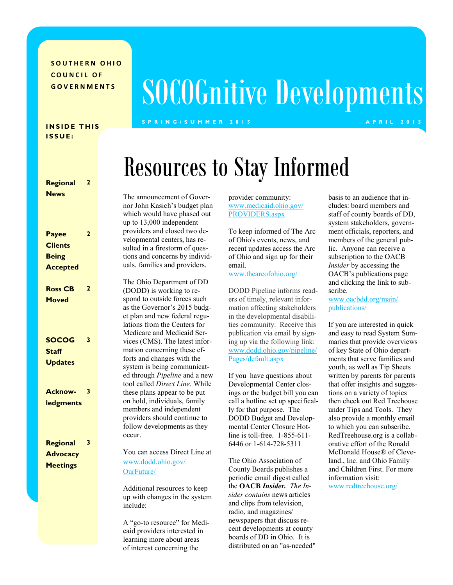**SOUTHERN OHIO COUNCIL OF** 

#### **INSIDE THIS I S S U E :**

| Regional<br><b>News</b>                                           | $\overline{2}$ |  |
|-------------------------------------------------------------------|----------------|--|
| <b>Payee</b><br><b>Clients</b><br><b>Being</b><br><b>Accepted</b> | 2              |  |
| <b>Ross CB</b><br><b>Moved</b>                                    | $\overline{2}$ |  |
| <b>SOCOG</b><br><b>Staff</b><br><b>Updates</b>                    | 3              |  |
| <b>Acknow-</b><br><b>ledgments</b>                                | 3              |  |
| Regional<br><b>Advocacy</b><br><b>Meetings</b>                    | 3              |  |

# **GOVERNMENTS** SOCOGnitive Developments

#### **S P R I N G / S U M M E R 2 0 1 5 A P R I L 2 0 1 5**

## Resources to Stay Informed

The announcement of Governor John Kasich's budget plan which would have phased out up to 13,000 independent providers and closed two developmental centers, has resulted in a firestorm of questions and concerns by individuals, families and providers.

The Ohio Department of DD (DODD) is working to respond to outside forces such as the Governor's 2015 budget plan and new federal regulations from the Centers for Medicare and Medicaid Services (CMS). The latest information concerning these efforts and changes with the system is being communicated through *Pipeline* and a new tool called *Direct Line*. While these plans appear to be put on hold, individuals, family members and independent providers should continue to follow developments as they occur.

You can access Direct Line at [www.dodd.ohio.gov/](http://www.dodd.ohio.gov/OurFuture/) [OurFuture/](http://www.dodd.ohio.gov/OurFuture/)

Additional resources to keep up with changes in the system include:

A "go-to resource" for Medicaid providers interested in learning more about areas of interest concerning the

provider community: [www.medicaid.ohio.gov/](http://www.medicaid.ohio.gov/PROVIDERS.aspx) [PROVIDERS.aspx](http://www.medicaid.ohio.gov/PROVIDERS.aspx)

To keep informed of The Arc of Ohio's events, news, and recent updates access the Arc of Ohio and sign up for their email.

#### [www.thearcofohio.org/](http://www.thearcofohio.org/)

DODD Pipeline informs readers of timely, relevant information affecting stakeholders in the developmental disabilities community. Receive this publication via email by signing up via the following link: www.dodd.ohio.gov/pipeline/ Pages/default.aspx

If you have questions about Developmental Center closings or the budget bill you can call a hotline set up specifically for that purpose. The DODD Budget and Developmental Center Closure Hotline is toll-free. 1-855-611- 6446 or 1-614-728-5311

The Ohio Association of County Boards publishes a periodic email digest called the **OACB** *Insider. The Insider contains* news articles and clips from television, radio, and magazines/ newspapers that discuss recent developments at county boards of DD in Ohio. It is distributed on an "as-needed"

basis to an audience that includes: board members and staff of county boards of DD, system stakeholders, government officials, reporters, and members of the general public. Anyone can receive a subscription to the OACB *Insider* by accessing the OACB's publications page and clicking the link to subscribe.

[www.oacbdd.org/main/](http://www.oacbdd.org/main/publications/) [publications/](http://www.oacbdd.org/main/publications/)

If you are interested in quick and easy to read System Summaries that provide overviews of key State of Ohio departments that serve families and youth, as well as Tip Sheets written by parents for parents that offer insights and suggestions on a variety of topics then check out Red Treehouse under Tips and Tools. They also provide a monthly email to which you can subscribe. RedTreehouse.org is a collaborative effort of the Ronald McDonald House® of Cleveland., Inc. and Ohio Family and Children First. For more information visit:

[www.redtreehouse.org/](http://www.redtreehouse.org/)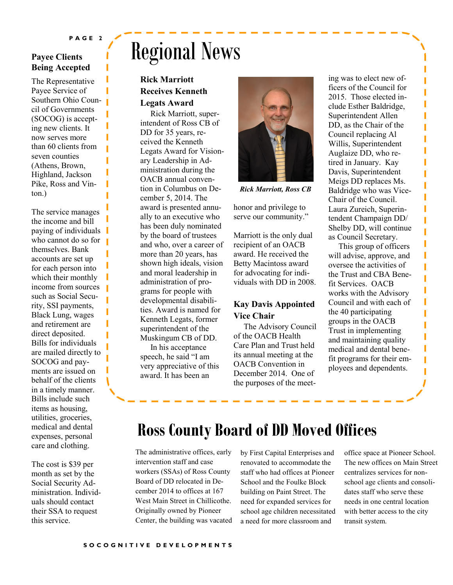#### **Payee Clients Being Accepted**

The Representative Payee Service of Southern Ohio Council of Governments (SOCOG) is accepting new clients. It now serves more than 60 clients from seven counties (Athens, Brown, Highland, Jackson Pike, Ross and Vinton.)

The service manages the income and bill paying of individuals who cannot do so for themselves. Bank accounts are set up for each person into which their monthly income from sources such as Social Security, SSI payments, Black Lung, wages and retirement are direct deposited. Bills for individuals are mailed directly to SOCOG and payments are issued on behalf of the clients in a timely manner. Bills include such items as housing, utilities, groceries, medical and dental expenses, personal care and clothing.

The cost is \$39 per month as set by the Social Security Administration. Individuals should contact their SSA to request this service.

## Regional News

#### **Rick Marriott Receives Kenneth Legats Award**

 Rick Marriott, superintendent of Ross CB of DD for 35 years, received the Kenneth Legats Award for Visionary Leadership in Administration during the OACB annual convention in Columbus on December 5, 2014. The award is presented annually to an executive who has been duly nominated by the board of trustees and who, over a career of more than 20 years, has shown high ideals, vision and moral leadership in administration of programs for people with developmental disabilities. Award is named for Kenneth Legats, former superintendent of the Muskingum CB of DD.

 In his acceptance speech, he said "I am very appreciative of this award. It has been an



*Rick Marriott, Ross CB*

honor and privilege to serve our community."

Marriott is the only dual recipient of an OACB award. He received the Betty Macintoss award for advocating for individuals with DD in 2008.

#### **Kay Davis Appointed Vice Chair**

 The Advisory Council of the OACB Health Care Plan and Trust held its annual meeting at the OACB Convention in December 2014. One of the purposes of the meeting was to elect new officers of the Council for 2015. Those elected include Esther Baldridge, Superintendent Allen DD, as the Chair of the Council replacing Al Willis, Superintendent Auglaize DD, who retired in January. Kay Davis, Superintendent Meigs DD replaces Ms. Baldridge who was Vice-Chair of the Council. Laura Zureich, Superintendent Champaign DD/ Shelby DD, will continue as Council Secretary.

Ī

Ī

Ī

Ï

Π Ī

Π Π Ī

Π Π

 This group of officers will advise, approve, and oversee the activities of the Trust and CBA Benefit Services. OACB works with the Advisory Council and with each of the 40 participating groups in the OACB Trust in implementing and maintaining quality medical and dental benefit programs for their employees and dependents.

### **Ross County Board of DD Moved Offices**

The administrative offices, early intervention staff and case workers (SSAs) of Ross County Board of DD relocated in December 2014 to offices at 167 West Main Street in Chillicothe. Originally owned by Pioneer Center, the building was vacated

by First Capital Enterprises and renovated to accommodate the staff who had offices at Pioneer School and the Foulke Block building on Paint Street. The need for expanded services for school age children necessitated a need for more classroom and

office space at Pioneer School. The new offices on Main Street centralizes services for nonschool age clients and consolidates staff who serve these needs in one central location with better access to the city transit system.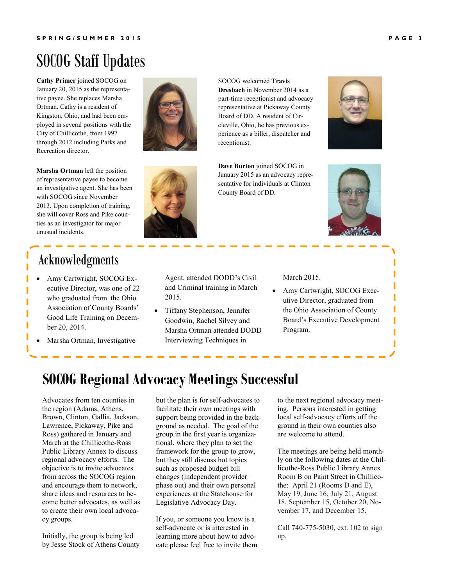ı I П

ı

## SOCOG Staff Updates

**Cathy Primer** joined SOCOG on January 20, 2015 as the representative payee. She replaces Marsha Ortman. Cathy is a resident of Kingston, Ohio, and had been employed in several positions with the City of Chillicothe, from 1997 through 2012 including Parks and Recreation director.

**Marsha Ortman** left the position of representative payee to become an investigative agent. She has been with SOCOG since November 2013. Upon completion of training, she will cover Ross and Pike counties as an investigator for major unusual incidents.

### Acknowledgments

- Amy Cartwright, SOCOG Executive Director, was one of 22 who graduated from the Ohio Association of County Boards' Good Life Training on December 20, 2014.
- Marsha Ortman, Investigative





**Dave Burton** joined SOCOG in January 2015 as an advocacy representative for individuals at Clinton County Board of DD.



 Tiffany Stephenson, Jennifer Goodwin, Rachel Silvey and Marsha Ortman attended DODD Interviewing Techniques in

March 2015.

• Amy Cartwright, SOCOG Executive Director, graduated from the Ohio Association of County Board's Executive Development Program.

### **SOCOG Regional Advocacy Meetings Successful**

Advocates from ten counties in the region (Adams, Athens, Brown, Clinton, Gallia, Jackson, Lawrence, Pickaway, Pike and Ross) gathered in January and March at the Chillicothe-Ross Public Library Annex to discuss regional advocacy efforts. The objective is to invite advocates from across the SOCOG region and encourage them to network, share ideas and resources to become better advocates, as well as to create their own local advocacy groups.

Initially, the group is being led by Jesse Stock of Athens County but the plan is for self-advocates to facilitate their own meetings with support being provided in the background as needed. The goal of the group in the first year is organizational, where they plan to set the framework for the group to grow, but they still discuss hot topics such as proposed budget bill changes (independent provider phase out) and their own personal experiences at the Statehouse for Legislative Advocacy Day.

If you, or someone you know is a self-advocate or is interested in learning more about how to advocate please feel free to invite them to the next regional advocacy meeting. Persons interested in getting local self-advocacy efforts off the ground in their own counties also are welcome to attend.

The meetings are being held monthly on the following dates at the Chillicothe-Ross Public Library Annex Room B on Paint Street in Chillicothe: April 21 (Rooms D and E), May 19, June 16, July 21, August 18, September 15, October 20, November 17, and December 15.

Call 740-775-5030, ext. 102 to sign up.